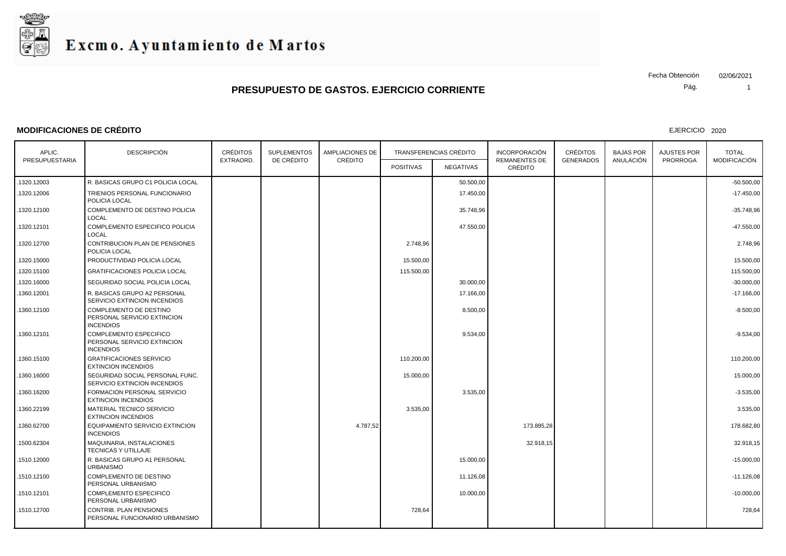

#### **MODIFICACIONES DE CRÉDITO**

EJERCICIO 2020

Pág. Fecha Obtención 02/06/2021

| APLIC.         | <b>DESCRIPCIÓN</b>                                                               | <b>CRÉDITOS</b> | <b>SUPLEMENTOS</b> | <b>AMPLIACIONES DE</b><br>CRÉDITO | TRANSFERENCIAS CRÉDITO |                  | <b>INCORPORACIÓN</b>            | <b>CRÉDITOS</b>  | <b>BAJAS POR</b><br>ANULACIÓN | <b>AJUSTES POR</b> | <b>TOTAL</b> |
|----------------|----------------------------------------------------------------------------------|-----------------|--------------------|-----------------------------------|------------------------|------------------|---------------------------------|------------------|-------------------------------|--------------------|--------------|
| PRESUPUESTARIA |                                                                                  | EXTRAORD.       | DE CRÉDITO         |                                   | <b>POSITIVAS</b>       | <b>NEGATIVAS</b> | <b>REMANENTES DE</b><br>CRÉDITO | <b>GENERADOS</b> |                               | <b>PRORROGA</b>    | MODIFICACIÓN |
| 1320.12003     | R. BASICAS GRUPO C1 POLICIA LOCAL                                                |                 |                    |                                   |                        | 50.500,00        |                                 |                  |                               |                    | $-50.500,00$ |
| 1320.12006     | TRIENIOS PERSONAL FUNCIONARIO<br>POLICIA LOCAL                                   |                 |                    |                                   |                        | 17.450,00        |                                 |                  |                               |                    | $-17.450,00$ |
| 1320.12100     | COMPLEMENTO DE DESTINO POLICIA<br>LOCAL                                          |                 |                    |                                   |                        | 35.748,96        |                                 |                  |                               |                    | $-35.748.96$ |
| .1320.12101    | COMPLEMENTO ESPECIFICO POLICIA<br>LOCAL                                          |                 |                    |                                   |                        | 47.550,00        |                                 |                  |                               |                    | $-47.550,00$ |
| 1320.12700     | CONTRIBUCION PLAN DE PENSIONES<br>POLICIA LOCAL                                  |                 |                    |                                   | 2.748,96               |                  |                                 |                  |                               |                    | 2.748,96     |
| .1320.15000    | PRODUCTIVIDAD POLICIA LOCAL                                                      |                 |                    |                                   | 15.500,00              |                  |                                 |                  |                               |                    | 15.500,00    |
| 1320.15100     | <b>GRATIFICACIONES POLICIA LOCAL</b>                                             |                 |                    |                                   | 115.500,00             |                  |                                 |                  |                               |                    | 115.500,00   |
| 1320.16000     | SEGURIDAD SOCIAL POLICIA LOCAL                                                   |                 |                    |                                   |                        | 30.000,00        |                                 |                  |                               |                    | $-30.000,00$ |
| .1360.12001    | R. BASICAS GRUPO A2 PERSONAL<br>SERVICIO EXTINCION INCENDIOS                     |                 |                    |                                   |                        | 17.166,00        |                                 |                  |                               |                    | $-17.166,00$ |
| 1360.12100     | <b>COMPLEMENTO DE DESTINO</b><br>PERSONAL SERVICIO EXTINCION<br><b>INCENDIOS</b> |                 |                    |                                   |                        | 8.500,00         |                                 |                  |                               |                    | $-8.500,00$  |
| .1360.12101    | COMPLEMENTO ESPECIFICO<br>PERSONAL SERVICIO EXTINCION<br><b>INCENDIOS</b>        |                 |                    |                                   |                        | 9.534,00         |                                 |                  |                               |                    | $-9.534,00$  |
| 1360.15100     | <b>GRATIFICACIONES SERVICIO</b><br><b>EXTINCION INCENDIOS</b>                    |                 |                    |                                   | 110.200,00             |                  |                                 |                  |                               |                    | 110.200,00   |
| 1360.16000     | SEGURIDAD SOCIAL PERSONAL FUNC.<br>SERVICIO EXTINCION INCENDIOS                  |                 |                    |                                   | 15.000,00              |                  |                                 |                  |                               |                    | 15.000,00    |
| 1360.16200     | FORMACION PERSONAL SERVICIO<br><b>EXTINCION INCENDIOS</b>                        |                 |                    |                                   |                        | 3.535,00         |                                 |                  |                               |                    | $-3.535,00$  |
| 1360.22199     | MATERIAL TECNICO SERVICIO<br><b>EXTINCION INCENDIOS</b>                          |                 |                    |                                   | 3.535,00               |                  |                                 |                  |                               |                    | 3.535,00     |
| 1360.62700     | EQUIPAMIENTO SERVICIO EXTINCION<br><b>INCENDIOS</b>                              |                 |                    | 4.787,52                          |                        |                  | 173.895,28                      |                  |                               |                    | 178.682,80   |
| 1500.62304     | MAQUINARIA, INSTALACIONES<br>TECNICAS Y UTILLAJE                                 |                 |                    |                                   |                        |                  | 32.918,15                       |                  |                               |                    | 32.918,15    |
| .1510.12000    | R. BASICAS GRUPO A1 PERSONAL<br><b>URBANISMO</b>                                 |                 |                    |                                   |                        | 15.000,00        |                                 |                  |                               |                    | $-15.000,00$ |
| 1510.12100     | <b>COMPLEMENTO DE DESTINO</b><br>PERSONAL URBANISMO                              |                 |                    |                                   |                        | 11.126,08        |                                 |                  |                               |                    | $-11.126,08$ |
| .1510.12101    | <b>COMPLEMENTO ESPECIFICO</b><br>PERSONAL URBANISMO                              |                 |                    |                                   |                        | 10.000,00        |                                 |                  |                               |                    | $-10.000,00$ |
| .1510.12700    | <b>CONTRIB. PLAN PENSIONES</b><br>PERSONAL FUNCIONARIO URBANISMO                 |                 |                    |                                   | 728,64                 |                  |                                 |                  |                               |                    | 728,64       |
|                |                                                                                  |                 |                    |                                   |                        |                  |                                 |                  |                               |                    |              |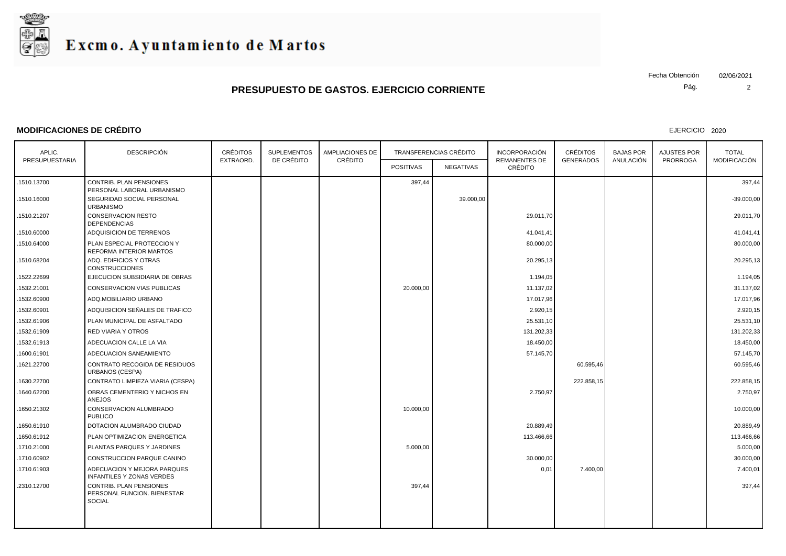

#### **MODIFICACIONES DE CRÉDITO**

EJERCICIO 2020

Pág. Fecha Obtención 02/06/2021

| APLIC.         | <b>DESCRIPCIÓN</b>                                                             | <b>CRÉDITOS</b><br><b>SUPLEMENTOS</b><br>DE CRÉDITO |  | <b>AMPLIACIONES DE</b> |                  | TRANSFERENCIAS CRÉDITO |                                 | <b>CRÉDITOS</b><br><b>GENERADOS</b> | <b>BAJAS POR</b><br>ANULACIÓN | AJUSTES POR<br><b>PRORROGA</b> | <b>TOTAL</b><br>MODIFICACIÓN |
|----------------|--------------------------------------------------------------------------------|-----------------------------------------------------|--|------------------------|------------------|------------------------|---------------------------------|-------------------------------------|-------------------------------|--------------------------------|------------------------------|
| PRESUPUESTARIA |                                                                                | EXTRAORD.                                           |  | CRÉDITO                | <b>POSITIVAS</b> | NEGATIVAS              | <b>REMANENTES DE</b><br>CRÉDITO |                                     |                               |                                |                              |
| .1510.13700    | CONTRIB. PLAN PENSIONES<br>PERSONAL LABORAL URBANISMO                          |                                                     |  |                        | 397,44           |                        |                                 |                                     |                               |                                | 397,44                       |
| 1510.16000     | SEGURIDAD SOCIAL PERSONAL<br><b>URBANISMO</b>                                  |                                                     |  |                        |                  | 39.000,00              |                                 |                                     |                               |                                | $-39.000,00$                 |
| 1510.21207     | <b>CONSERVACION RESTO</b><br><b>DEPENDENCIAS</b>                               |                                                     |  |                        |                  |                        | 29.011,70                       |                                     |                               |                                | 29.011,70                    |
| .1510.60000    | ADQUISICION DE TERRENOS                                                        |                                                     |  |                        |                  |                        | 41.041,41                       |                                     |                               |                                | 41.041,41                    |
| 1510.64000     | PLAN ESPECIAL PROTECCION Y<br>REFORMA INTERIOR MARTOS                          |                                                     |  |                        |                  |                        | 80.000,00                       |                                     |                               |                                | 80.000,00                    |
| .1510.68204    | ADQ. EDIFICIOS Y OTRAS<br><b>CONSTRUCCIONES</b>                                |                                                     |  |                        |                  |                        | 20.295,13                       |                                     |                               |                                | 20.295,13                    |
| 1522.22699     | EJECUCION SUBSIDIARIA DE OBRAS                                                 |                                                     |  |                        |                  |                        | 1.194,05                        |                                     |                               |                                | 1.194,05                     |
| 1532.21001     | CONSERVACION VIAS PUBLICAS                                                     |                                                     |  |                        | 20.000,00        |                        | 11.137,02                       |                                     |                               |                                | 31.137,02                    |
| 1532.60900     | ADQ.MOBILIARIO URBANO                                                          |                                                     |  |                        |                  |                        | 17.017,96                       |                                     |                               |                                | 17.017,96                    |
| 1532.60901     | ADQUISICION SEÑALES DE TRAFICO                                                 |                                                     |  |                        |                  |                        | 2.920,15                        |                                     |                               |                                | 2.920,15                     |
| 1532.61906     | PLAN MUNICIPAL DE ASFALTADO                                                    |                                                     |  |                        |                  |                        | 25.531,10                       |                                     |                               |                                | 25.531,10                    |
| 1532.61909     | <b>RED VIARIA Y OTROS</b>                                                      |                                                     |  |                        |                  |                        | 131.202,33                      |                                     |                               |                                | 131.202,33                   |
| .1532.61913    | ADECUACION CALLE LA VIA                                                        |                                                     |  |                        |                  |                        | 18.450,00                       |                                     |                               |                                | 18.450,00                    |
| .1600.61901    | ADECUACION SANEAMIENTO                                                         |                                                     |  |                        |                  |                        | 57.145,70                       |                                     |                               |                                | 57.145,70                    |
| 1621.22700     | CONTRATO RECOGIDA DE RESIDUOS<br><b>URBANOS (CESPA)</b>                        |                                                     |  |                        |                  |                        |                                 | 60.595,46                           |                               |                                | 60.595,46                    |
| 1630.22700     | CONTRATO LIMPIEZA VIARIA (CESPA)                                               |                                                     |  |                        |                  |                        |                                 | 222.858,15                          |                               |                                | 222.858,15                   |
| 1640.62200     | OBRAS CEMENTERIO Y NICHOS EN<br>ANEJOS                                         |                                                     |  |                        |                  |                        | 2.750,97                        |                                     |                               |                                | 2.750,97                     |
| .1650.21302    | CONSERVACION ALUMBRADO<br><b>PUBLICO</b>                                       |                                                     |  |                        | 10.000,00        |                        |                                 |                                     |                               |                                | 10.000,00                    |
| .1650.61910    | DOTACION ALUMBRADO CIUDAD                                                      |                                                     |  |                        |                  |                        | 20.889,49                       |                                     |                               |                                | 20.889,49                    |
| 1650.61912     | PLAN OPTIMIZACION ENERGETICA                                                   |                                                     |  |                        |                  |                        | 113.466,66                      |                                     |                               |                                | 113.466,66                   |
| .1710.21000    | PLANTAS PARQUES Y JARDINES                                                     |                                                     |  |                        | 5.000,00         |                        |                                 |                                     |                               |                                | 5.000,00                     |
| 1710.60902     | CONSTRUCCION PARQUE CANINO                                                     |                                                     |  |                        |                  |                        | 30.000,00                       |                                     |                               |                                | 30.000,00                    |
| .1710.61903    | ADECUACION Y MEJORA PARQUES<br><b>INFANTILES Y ZONAS VERDES</b>                |                                                     |  |                        |                  |                        | 0,01                            | 7.400,00                            |                               |                                | 7.400,01                     |
| .2310.12700    | <b>CONTRIB. PLAN PENSIONES</b><br>PERSONAL FUNCION. BIENESTAR<br><b>SOCIAL</b> |                                                     |  |                        | 397,44           |                        |                                 |                                     |                               |                                | 397,44                       |
|                |                                                                                |                                                     |  |                        |                  |                        |                                 |                                     |                               |                                |                              |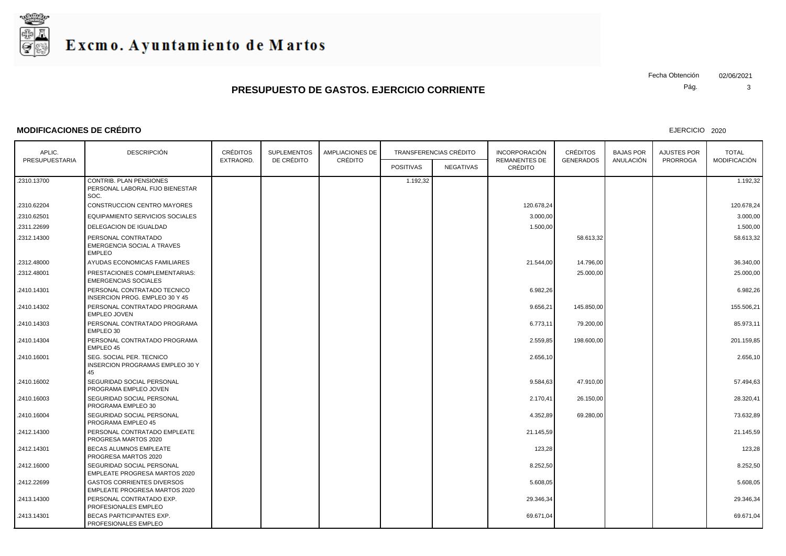

### **MODIFICACIONES DE CRÉDITO**

EJERCICIO 2020

Pág. Fecha Obtención 02/06/2021

| APLIC.         | <b>DESCRIPCIÓN</b>                                                        | <b>CRÉDITOS</b><br>EXTRAORD. | <b>SUPLEMENTOS</b><br>DE CRÉDITO | <b>AMPLIACIONES DE</b><br>CRÉDITO | <b>TRANSFERENCIAS CRÉDITO</b> |           | <b>INCORPORACIÓN</b>            | <b>CRÉDITOS</b>  | <b>BAJAS POR</b> | <b>AJUSTES POR</b> | <b>TOTAL</b> |
|----------------|---------------------------------------------------------------------------|------------------------------|----------------------------------|-----------------------------------|-------------------------------|-----------|---------------------------------|------------------|------------------|--------------------|--------------|
| PRESUPUESTARIA |                                                                           |                              |                                  |                                   | <b>POSITIVAS</b>              | NEGATIVAS | <b>REMANENTES DE</b><br>CRÉDITO | <b>GENERADOS</b> | ANULACIÓN        | <b>PRORROGA</b>    | MODIFICACIÓN |
| .2310.13700    | <b>CONTRIB. PLAN PENSIONES</b><br>PERSONAL LABORAL FIJO BIENESTAR<br>SOC. |                              |                                  |                                   | 1.192,32                      |           |                                 |                  |                  |                    | 1.192,32     |
| .2310.62204    | CONSTRUCCION CENTRO MAYORES                                               |                              |                                  |                                   |                               |           | 120.678,24                      |                  |                  |                    | 120.678,24   |
| .2310.62501    | EQUIPAMIENTO SERVICIOS SOCIALES                                           |                              |                                  |                                   |                               |           | 3.000,00                        |                  |                  |                    | 3.000,00     |
| .2311.22699    | DELEGACION DE IGUALDAD                                                    |                              |                                  |                                   |                               |           | 1.500,00                        |                  |                  |                    | 1.500,00     |
| .2312.14300    | PERSONAL CONTRATADO<br><b>EMERGENCIA SOCIAL A TRAVES</b><br><b>EMPLEO</b> |                              |                                  |                                   |                               |           |                                 | 58.613,32        |                  |                    | 58.613,32    |
| .2312.48000    | AYUDAS ECONOMICAS FAMILIARES                                              |                              |                                  |                                   |                               |           | 21.544,00                       | 14.796,00        |                  |                    | 36.340,00    |
| .2312.48001    | PRESTACIONES COMPLEMENTARIAS:<br><b>EMERGENCIAS SOCIALES</b>              |                              |                                  |                                   |                               |           |                                 | 25.000,00        |                  |                    | 25.000,00    |
| .2410.14301    | PERSONAL CONTRATADO TECNICO<br>INSERCION PROG. EMPLEO 30 Y 45             |                              |                                  |                                   |                               |           | 6.982,26                        |                  |                  |                    | 6.982,26     |
| .2410.14302    | PERSONAL CONTRATADO PROGRAMA<br><b>EMPLEO JOVEN</b>                       |                              |                                  |                                   |                               |           | 9.656,21                        | 145.850,00       |                  |                    | 155.506,21   |
| .2410.14303    | PERSONAL CONTRATADO PROGRAMA<br>EMPLEO 30                                 |                              |                                  |                                   |                               |           | 6.773,11                        | 79.200,00        |                  |                    | 85.973,11    |
| .2410.14304    | PERSONAL CONTRATADO PROGRAMA<br>EMPLEO 45                                 |                              |                                  |                                   |                               |           | 2.559,85                        | 198.600,00       |                  |                    | 201.159,85   |
| .2410.16001    | SEG. SOCIAL PER. TECNICO<br><b>INSERCION PROGRAMAS EMPLEO 30 Y</b><br>45  |                              |                                  |                                   |                               |           | 2.656,10                        |                  |                  |                    | 2.656,10     |
| .2410.16002    | SEGURIDAD SOCIAL PERSONAL<br>PROGRAMA EMPLEO JOVEN                        |                              |                                  |                                   |                               |           | 9.584,63                        | 47.910,00        |                  |                    | 57.494,63    |
| .2410.16003    | SEGURIDAD SOCIAL PERSONAL<br>PROGRAMA EMPLEO 30                           |                              |                                  |                                   |                               |           | 2.170,41                        | 26.150,00        |                  |                    | 28.320.41    |
| .2410.16004    | SEGURIDAD SOCIAL PERSONAL<br>PROGRAMA EMPLEO 45                           |                              |                                  |                                   |                               |           | 4.352,89                        | 69.280,00        |                  |                    | 73.632,89    |
| .2412.14300    | PERSONAL CONTRATADO EMPLEATE<br>PROGRESA MARTOS 2020                      |                              |                                  |                                   |                               |           | 21.145,59                       |                  |                  |                    | 21.145,59    |
| .2412.14301    | <b>BECAS ALUMNOS EMPLEATE</b><br>PROGRESA MARTOS 2020                     |                              |                                  |                                   |                               |           | 123,28                          |                  |                  |                    | 123,28       |
| .2412.16000    | SEGURIDAD SOCIAL PERSONAL<br>EMPLEATE PROGRESA MARTOS 2020                |                              |                                  |                                   |                               |           | 8.252,50                        |                  |                  |                    | 8.252,50     |
| .2412.22699    | <b>GASTOS CORRIENTES DIVERSOS</b><br><b>EMPLEATE PROGRESA MARTOS 2020</b> |                              |                                  |                                   |                               |           | 5.608,05                        |                  |                  |                    | 5.608,05     |
| .2413.14300    | PERSONAL CONTRATADO EXP.<br><b>PROFESIONALES EMPLEO</b>                   |                              |                                  |                                   |                               |           | 29.346,34                       |                  |                  |                    | 29.346,34    |
| .2413.14301    | <b>BECAS PARTICIPANTES EXP.</b><br>PROFESIONALES EMPLEO                   |                              |                                  |                                   |                               |           | 69.671,04                       |                  |                  |                    | 69.671,04    |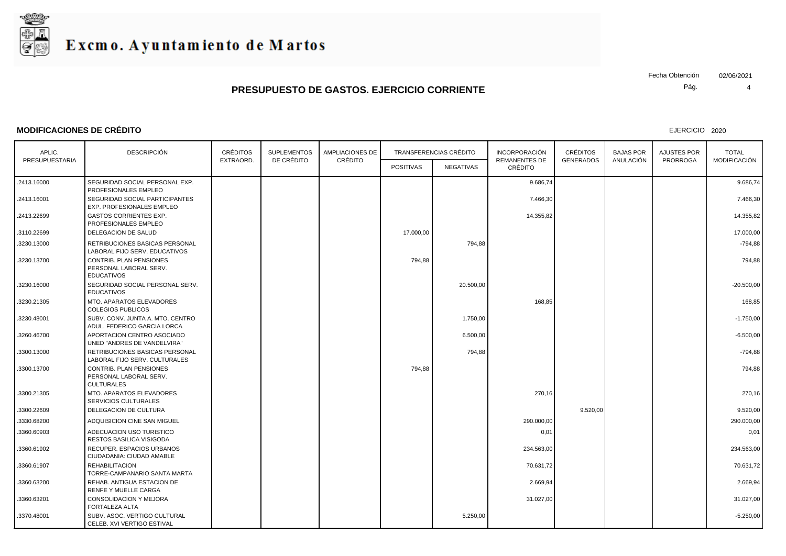

#### **MODIFICACIONES DE CRÉDITO**

EJERCICIO 2020

Pág. Fecha Obtención 02/06/2021

| APLIC.         | <b>DESCRIPCIÓN</b>                                                            | <b>CRÉDITOS</b><br><b>SUPLEMENTOS</b> |            | <b>AMPLIACIONES DE</b> |                  | <b>TRANSFERENCIAS CRÉDITO</b> |                                 | <b>CRÉDITOS</b>  | <b>BAJAS POR</b> | <b>AJUSTES POR</b> | <b>TOTAL</b> |
|----------------|-------------------------------------------------------------------------------|---------------------------------------|------------|------------------------|------------------|-------------------------------|---------------------------------|------------------|------------------|--------------------|--------------|
| PRESUPUESTARIA |                                                                               | EXTRAORD.                             | DE CRÉDITO | CRÉDITO                | <b>POSITIVAS</b> | NEGATIVAS                     | <b>REMANENTES DE</b><br>CRÉDITO | <b>GENERADOS</b> | ANULACIÓN        | <b>PRORROGA</b>    | MODIFICACIÓN |
| .2413.16000    | SEGURIDAD SOCIAL PERSONAL EXP.<br>PROFESIONALES EMPLEO                        |                                       |            |                        |                  |                               | 9.686,74                        |                  |                  |                    | 9.686,74     |
| .2413.16001    | SEGURIDAD SOCIAL PARTICIPANTES<br>EXP. PROFESIONALES EMPLEO                   |                                       |            |                        |                  |                               | 7.466,30                        |                  |                  |                    | 7.466,30     |
| .2413.22699    | <b>GASTOS CORRIENTES EXP.</b><br>PROFESIONALES EMPLEO                         |                                       |            |                        |                  |                               | 14.355,82                       |                  |                  |                    | 14.355,82    |
| .3110.22699    | DELEGACION DE SALUD                                                           |                                       |            |                        | 17.000,00        |                               |                                 |                  |                  |                    | 17.000,00    |
| .3230.13000    | RETRIBUCIONES BASICAS PERSONAL<br>LABORAL FIJO SERV. EDUCATIVOS               |                                       |            |                        |                  | 794,88                        |                                 |                  |                  |                    | $-794,88$    |
| .3230.13700    | <b>CONTRIB. PLAN PENSIONES</b><br>PERSONAL LABORAL SERV.<br><b>EDUCATIVOS</b> |                                       |            |                        | 794,88           |                               |                                 |                  |                  |                    | 794,88       |
| .3230.16000    | SEGURIDAD SOCIAL PERSONAL SERV.<br><b>EDUCATIVOS</b>                          |                                       |            |                        |                  | 20.500,00                     |                                 |                  |                  |                    | $-20.500,00$ |
| .3230.21305    | MTO. APARATOS ELEVADORES<br><b>COLEGIOS PUBLICOS</b>                          |                                       |            |                        |                  |                               | 168,85                          |                  |                  |                    | 168,85       |
| 3230.48001     | SUBV. CONV. JUNTA A. MTO. CENTRO<br>ADUL. FEDERICO GARCIA LORCA               |                                       |            |                        |                  | 1.750,00                      |                                 |                  |                  |                    | $-1.750,00$  |
| .3260.46700    | APORTACION CENTRO ASOCIADO<br>UNED "ANDRES DE VANDELVIRA"                     |                                       |            |                        |                  | 6.500,00                      |                                 |                  |                  |                    | $-6.500,00$  |
| .3300.13000    | RETRIBUCIONES BASICAS PERSONAL<br>LABORAL FIJO SERV. CULTURALES               |                                       |            |                        |                  | 794,88                        |                                 |                  |                  |                    | $-794,88$    |
| .3300.13700    | <b>CONTRIB. PLAN PENSIONES</b><br>PERSONAL LABORAL SERV.<br><b>CULTURALES</b> |                                       |            |                        | 794,88           |                               |                                 |                  |                  |                    | 794,88       |
| .3300.21305    | MTO. APARATOS ELEVADORES<br>SERVICIOS CULTURALES                              |                                       |            |                        |                  |                               | 270,16                          |                  |                  |                    | 270,16       |
| .3300.22609    | DELEGACION DE CULTURA                                                         |                                       |            |                        |                  |                               |                                 | 9.520,00         |                  |                    | 9.520,00     |
| .3330.68200    | ADQUISICION CINE SAN MIGUEL                                                   |                                       |            |                        |                  |                               | 290.000,00                      |                  |                  |                    | 290.000,00   |
| .3360.60903    | ADECUACION USO TURISTICO<br>RESTOS BASILICA VISIGODA                          |                                       |            |                        |                  |                               | 0,01                            |                  |                  |                    | 0,01         |
| .3360.61902    | <b>RECUPER. ESPACIOS URBANOS</b><br>CIUDADANIA: CIUDAD AMABLE                 |                                       |            |                        |                  |                               | 234.563,00                      |                  |                  |                    | 234.563,00   |
| .3360.61907    | <b>REHABILITACION</b><br>TORRE-CAMPANARIO SANTA MARTA                         |                                       |            |                        |                  |                               | 70.631,72                       |                  |                  |                    | 70.631,72    |
| .3360.63200    | REHAB, ANTIGUA ESTACION DE<br><b>RENFE Y MUELLE CARGA</b>                     |                                       |            |                        |                  |                               | 2.669,94                        |                  |                  |                    | 2.669,94     |
| .3360.63201    | CONSOLIDACION Y MEJORA<br>FORTALEZA ALTA                                      |                                       |            |                        |                  |                               | 31.027,00                       |                  |                  |                    | 31.027,00    |
| .3370.48001    | SUBV. ASOC. VERTIGO CULTURAL<br>CELEB. XVI VERTIGO ESTIVAL                    |                                       |            |                        |                  | 5.250,00                      |                                 |                  |                  |                    | $-5.250,00$  |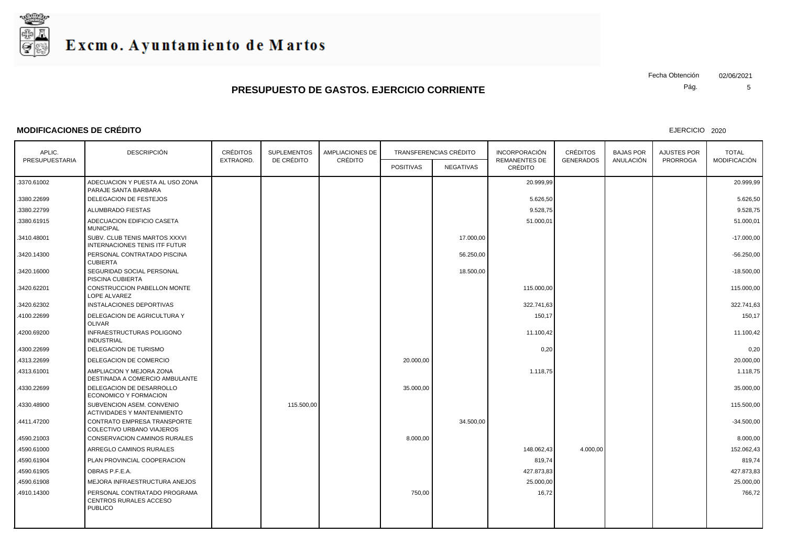

#### **MODIFICACIONES DE CRÉDITO**

EJERCICIO 2020

Pág. Fecha Obtención 02/06/2021

| APLIC.         | <b>DESCRIPCIÓN</b>                                                       | <b>CRÉDITOS</b> | <b>SUPLEMENTOS</b><br>DE CRÉDITO | <b>AMPLIACIONES DE</b> | <b>TRANSFERENCIAS CRÉDITO</b> |           | <b>INCORPORACIÓN</b>            | <b>CRÉDITOS</b>  | <b>BAJAS POR</b> | <b>AJUSTES POR</b> | <b>TOTAL</b>        |
|----------------|--------------------------------------------------------------------------|-----------------|----------------------------------|------------------------|-------------------------------|-----------|---------------------------------|------------------|------------------|--------------------|---------------------|
| PRESUPUESTARIA |                                                                          | EXTRAORD.       |                                  | CRÉDITO                | <b>POSITIVAS</b>              | NEGATIVAS | <b>REMANENTES DE</b><br>CRÉDITO | <b>GENERADOS</b> | ANULACIÓN        | <b>PRORROGA</b>    | <b>MODIFICACIÓN</b> |
| .3370.61002    | ADECUACION Y PUESTA AL USO ZONA<br>PARAJE SANTA BARBARA                  |                 |                                  |                        |                               |           | 20.999,99                       |                  |                  |                    | 20.999,99           |
| .3380.22699    | DELEGACION DE FESTEJOS                                                   |                 |                                  |                        |                               |           | 5.626,50                        |                  |                  |                    | 5.626,50            |
| .3380.22799    | ALUMBRADO FIESTAS                                                        |                 |                                  |                        |                               |           | 9.528,75                        |                  |                  |                    | 9.528,75            |
| .3380.61915    | ADECUACION EDIFICIO CASETA<br><b>MUNICIPAL</b>                           |                 |                                  |                        |                               |           | 51.000,01                       |                  |                  |                    | 51.000,01           |
| .3410.48001    | SUBV. CLUB TENIS MARTOS XXXVI<br>INTERNACIONES TENIS ITF FUTUR           |                 |                                  |                        |                               | 17.000,00 |                                 |                  |                  |                    | $-17.000,00$        |
| .3420.14300    | PERSONAL CONTRATADO PISCINA<br><b>CUBIERTA</b>                           |                 |                                  |                        |                               | 56.250,00 |                                 |                  |                  |                    | $-56.250,00$        |
| .3420.16000    | SEGURIDAD SOCIAL PERSONAL<br>PISCINA CUBIERTA                            |                 |                                  |                        |                               | 18.500,00 |                                 |                  |                  |                    | $-18.500,00$        |
| 3420.62201     | <b>CONSTRUCCION PABELLON MONTE</b><br>LOPE ALVAREZ                       |                 |                                  |                        |                               |           | 115.000,00                      |                  |                  |                    | 115.000,00          |
| .3420.62302    | INSTALACIONES DEPORTIVAS                                                 |                 |                                  |                        |                               |           | 322.741,63                      |                  |                  |                    | 322.741,63          |
| .4100.22699    | DELEGACION DE AGRICULTURA Y<br><b>OLIVAR</b>                             |                 |                                  |                        |                               |           | 150,17                          |                  |                  |                    | 150,17              |
| 4200.69200     | INFRAESTRUCTURAS POLIGONO<br><b>INDUSTRIAL</b>                           |                 |                                  |                        |                               |           | 11.100,42                       |                  |                  |                    | 11.100,42           |
| .4300.22699    | DELEGACION DE TURISMO                                                    |                 |                                  |                        |                               |           | 0,20                            |                  |                  |                    | 0,20                |
| 4313.22699     | DELEGACION DE COMERCIO                                                   |                 |                                  |                        | 20.000,00                     |           |                                 |                  |                  |                    | 20.000,00           |
| 4313.61001     | AMPLIACION Y MEJORA ZONA<br>DESTINADA A COMERCIO AMBULANTE               |                 |                                  |                        |                               |           | 1.118,75                        |                  |                  |                    | 1.118,75            |
| 4330.22699     | DELEGACION DE DESARROLLO<br>ECONOMICO Y FORMACION                        |                 |                                  |                        | 35.000,00                     |           |                                 |                  |                  |                    | 35.000,00           |
| 4330.48900     | SUBVENCION ASEM. CONVENIO<br><b>ACTIVIDADES Y MANTENIMIENTO</b>          |                 | 115.500,00                       |                        |                               |           |                                 |                  |                  |                    | 115.500,00          |
| 4411.47200     | CONTRATO EMPRESA TRANSPORTE<br>COLECTIVO URBANO VIAJEROS                 |                 |                                  |                        |                               | 34.500,00 |                                 |                  |                  |                    | $-34.500,00$        |
| 4590.21003     | CONSERVACION CAMINOS RURALES                                             |                 |                                  |                        | 8.000,00                      |           |                                 |                  |                  |                    | 8.000,00            |
| 4590.61000     | ARREGLO CAMINOS RURALES                                                  |                 |                                  |                        |                               |           | 148.062,43                      | 4.000,00         |                  |                    | 152.062,43          |
| 4590.61904     | PLAN PROVINCIAL COOPERACION                                              |                 |                                  |                        |                               |           | 819,74                          |                  |                  |                    | 819,74              |
| 4590.61905     | OBRAS P.F.E.A.                                                           |                 |                                  |                        |                               |           | 427.873,83                      |                  |                  |                    | 427.873,83          |
| 4590.61908     | MEJORA INFRAESTRUCTURA ANEJOS                                            |                 |                                  |                        |                               |           | 25.000,00                       |                  |                  |                    | 25.000,00           |
| 4910.14300     | PERSONAL CONTRATADO PROGRAMA<br>CENTROS RURALES ACCESO<br><b>PUBLICO</b> |                 |                                  |                        | 750,00                        |           | 16,72                           |                  |                  |                    | 766,72              |
|                |                                                                          |                 |                                  |                        |                               |           |                                 |                  |                  |                    |                     |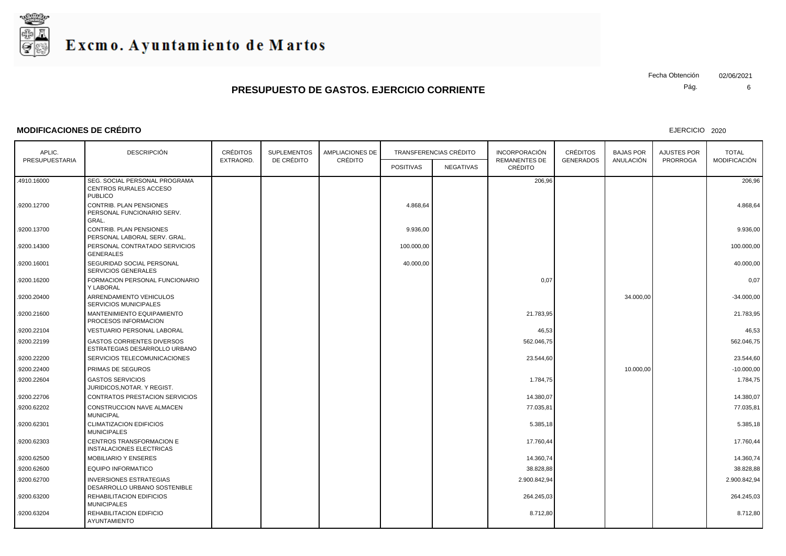

#### **MODIFICACIONES DE CRÉDITO**

EJERCICIO 2020

Pág. Fecha Obtención 02/06/2021

| APLIC.         | <b>DESCRIPCIÓN</b>                                                        | <b>CRÉDITOS</b> | <b>SUPLEMENTOS</b> | AMPLIACIONES DE | <b>TRANSFERENCIAS CRÉDITO</b> |           | <b>INCORPORACIÓN</b>            | <b>CRÉDITOS</b>  | <b>BAJAS POR</b> | AJUSTES POR     | <b>TOTAL</b>        |
|----------------|---------------------------------------------------------------------------|-----------------|--------------------|-----------------|-------------------------------|-----------|---------------------------------|------------------|------------------|-----------------|---------------------|
| PRESUPUESTARIA |                                                                           | EXTRAORD.       | DE CRÉDITO         | CRÉDITO         | <b>POSITIVAS</b>              | NEGATIVAS | <b>REMANENTES DE</b><br>CRÉDITO | <b>GENERADOS</b> | ANULACIÓN        | <b>PRORROGA</b> | <b>MODIFICACIÓN</b> |
| .4910.16000    | SEG. SOCIAL PERSONAL PROGRAMA<br>CENTROS RURALES ACCESO<br><b>PUBLICO</b> |                 |                    |                 |                               |           | 206,96                          |                  |                  |                 | 206,96              |
| .9200.12700    | CONTRIB. PLAN PENSIONES<br>PERSONAL FUNCIONARIO SERV.<br>GRAL.            |                 |                    |                 | 4.868,64                      |           |                                 |                  |                  |                 | 4.868,64            |
| .9200.13700    | CONTRIB. PLAN PENSIONES<br>PERSONAL LABORAL SERV. GRAL.                   |                 |                    |                 | 9.936,00                      |           |                                 |                  |                  |                 | 9.936,00            |
| .9200.14300    | PERSONAL CONTRATADO SERVICIOS<br>GENERALES                                |                 |                    |                 | 100.000,00                    |           |                                 |                  |                  |                 | 100.000,00          |
| .9200.16001    | SEGURIDAD SOCIAL PERSONAL<br><b>SERVICIOS GENERALES</b>                   |                 |                    |                 | 40.000,00                     |           |                                 |                  |                  |                 | 40.000,00           |
| .9200.16200    | FORMACION PERSONAL FUNCIONARIO<br>Y LABORAL                               |                 |                    |                 |                               |           | 0,07                            |                  |                  |                 | 0,07                |
| .9200.20400    | ARRENDAMIENTO VEHICULOS<br><b>SERVICIOS MUNICIPALES</b>                   |                 |                    |                 |                               |           |                                 |                  | 34.000,00        |                 | $-34.000,00$        |
| .9200.21600    | MANTENIMIENTO EQUIPAMIENTO<br>PROCESOS INFORMACION                        |                 |                    |                 |                               |           | 21.783,95                       |                  |                  |                 | 21.783,95           |
| .9200.22104    | <b>VESTUARIO PERSONAL LABORAL</b>                                         |                 |                    |                 |                               |           | 46,53                           |                  |                  |                 | 46,53               |
| .9200.22199    | <b>GASTOS CORRIENTES DIVERSOS</b><br>ESTRATEGIAS DESARROLLO URBANO        |                 |                    |                 |                               |           | 562.046,75                      |                  |                  |                 | 562.046,75          |
| .9200.22200    | SERVICIOS TELECOMUNICACIONES                                              |                 |                    |                 |                               |           | 23.544,60                       |                  |                  |                 | 23.544,60           |
| .9200.22400    | PRIMAS DE SEGUROS                                                         |                 |                    |                 |                               |           |                                 |                  | 10.000,00        |                 | $-10.000,00$        |
| .9200.22604    | <b>GASTOS SERVICIOS</b><br>JURIDICOS.NOTAR, Y REGIST.                     |                 |                    |                 |                               |           | 1.784,75                        |                  |                  |                 | 1.784,75            |
| .9200.22706    | <b>CONTRATOS PRESTACION SERVICIOS</b>                                     |                 |                    |                 |                               |           | 14.380,07                       |                  |                  |                 | 14.380,07           |
| .9200.62202    | CONSTRUCCION NAVE ALMACEN<br><b>MUNICIPAL</b>                             |                 |                    |                 |                               |           | 77.035,81                       |                  |                  |                 | 77.035,81           |
| .9200.62301    | <b>CLIMATIZACION EDIFICIOS</b><br><b>MUNICIPALES</b>                      |                 |                    |                 |                               |           | 5.385,18                        |                  |                  |                 | 5.385,18            |
| .9200.62303    | CENTROS TRANSFORMACION E<br><b>INSTALACIONES ELECTRICAS</b>               |                 |                    |                 |                               |           | 17.760,44                       |                  |                  |                 | 17.760,44           |
| .9200.62500    | MOBILIARIO Y ENSERES                                                      |                 |                    |                 |                               |           | 14.360,74                       |                  |                  |                 | 14.360,74           |
| .9200.62600    | <b>EQUIPO INFORMATICO</b>                                                 |                 |                    |                 |                               |           | 38.828,88                       |                  |                  |                 | 38.828,88           |
| .9200.62700    | <b>INVERSIONES ESTRATEGIAS</b><br>DESARROLLO URBANO SOSTENIBLE            |                 |                    |                 |                               |           | 2.900.842,94                    |                  |                  |                 | 2.900.842,94        |
| .9200.63200    | REHABILITACION EDIFICIOS<br><b>MUNICIPALES</b>                            |                 |                    |                 |                               |           | 264.245,03                      |                  |                  |                 | 264.245,03          |
| .9200.63204    | REHABILITACION EDIFICIO<br>AYUNTAMIENTO                                   |                 |                    |                 |                               |           | 8.712,80                        |                  |                  |                 | 8.712,80            |